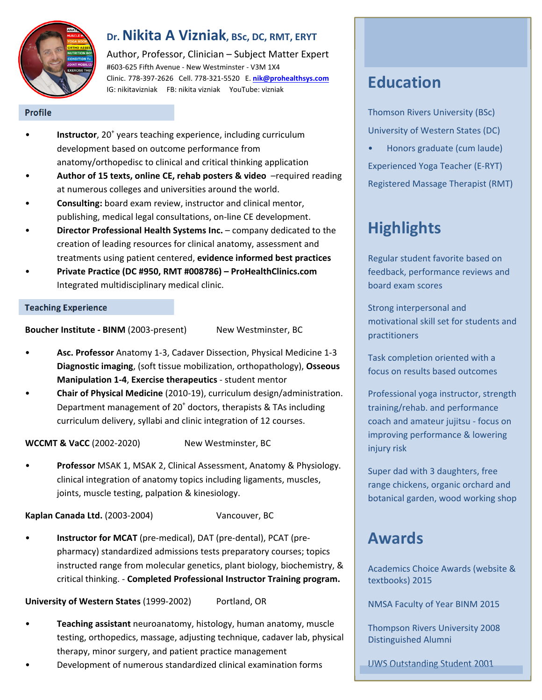

### **Dr. Nikita A Vizniak, BSc, DC, RMT, ERYT**

Author, Professor, Clinician – Subject Matter Expert #603‐625 Fifth Avenue ‐ New Westminster ‐ V3M 1X4 Clinic. 778‐397‐2626 Cell. 778‐321‐5520 E. **nik@prohealthsys.com** IG: nikitavizniak FB: nikita vizniak YouTube: vizniak

#### **Profile**

- **Instructor**, 20<sup>+</sup> years teaching experience, including curriculum development based on outcome performance from anatomy/orthopedisc to clinical and critical thinking application
- **Author of 15 texts, online CE, rehab posters & video** –required reading at numerous colleges and universities around the world.
- **Consulting:** board exam review, instructor and clinical mentor, publishing, medical legal consultations, on‐line CE development.
- **Director Professional Health Systems Inc.** company dedicated to the creation of leading resources for clinical anatomy, assessment and treatments using patient centered, **evidence informed best practices**
- **Private Practice (DC #950, RMT #008786) ProHealthClinics.com**  Integrated multidisciplinary medical clinic.

#### **Teaching Experience**

**Boucher Institute - BINM** (2003-present) New Westminster, BC

- **Asc. Professor** Anatomy 1‐3, Cadaver Dissection, Physical Medicine 1‐3 **Diagnostic imaging**, (soft tissue mobilization, orthopathology), **Osseous Manipulation 1‐4**, **Exercise therapeutics** ‐ student mentor
- **Chair of Physical Medicine** (2010‐19), curriculum design/administration. Department management of 20<sup>+</sup> doctors, therapists & TAs including curriculum delivery, syllabi and clinic integration of 12 courses.

**WCCMT & VaCC** (2002‐2020) New Westminster, BC

• **Professor** MSAK 1, MSAK 2, Clinical Assessment, Anatomy & Physiology. clinical integration of anatomy topics including ligaments, muscles, joints, muscle testing, palpation & kinesiology.

Kaplan Canada Ltd. (2003-2004) Vancouver, BC

• **Instructor for MCAT** (pre‐medical), DAT (pre‐dental), PCAT (pre‐ pharmacy) standardized admissions tests preparatory courses; topics instructed range from molecular genetics, plant biology, biochemistry, & critical thinking. ‐ **Completed Professional Instructor Training program.**

**University of Western States** (1999‐2002) Portland, OR

- **Teaching assistant** neuroanatomy, histology, human anatomy, muscle testing, orthopedics, massage, adjusting technique, cadaver lab, physical therapy, minor surgery, and patient practice management
- Development of numerous standardized clinical examination forms

# **Education**

Thomson Rivers University (BSc) University of Western States (DC)

• Honors graduate (cum laude) Experienced Yoga Teacher (E‐RYT) Registered Massage Therapist (RMT)

# **Highlights**

Regular student favorite based on feedback, performance reviews and board exam scores

Strong interpersonal and motivational skill set for students and practitioners

Task completion oriented with a focus on results based outcomes

Professional yoga instructor, strength training/rehab. and performance coach and amateur jujitsu ‐ focus on improving performance & lowering injury risk

Super dad with 3 daughters, free range chickens, organic orchard and botanical garden, wood working shop

# **Awards**

Academics Choice Awards (website & textbooks) 2015

NMSA Faculty of Year BINM 2015

Thompson Rivers University 2008 Distinguished Alumni

UWS Outstanding Student 2001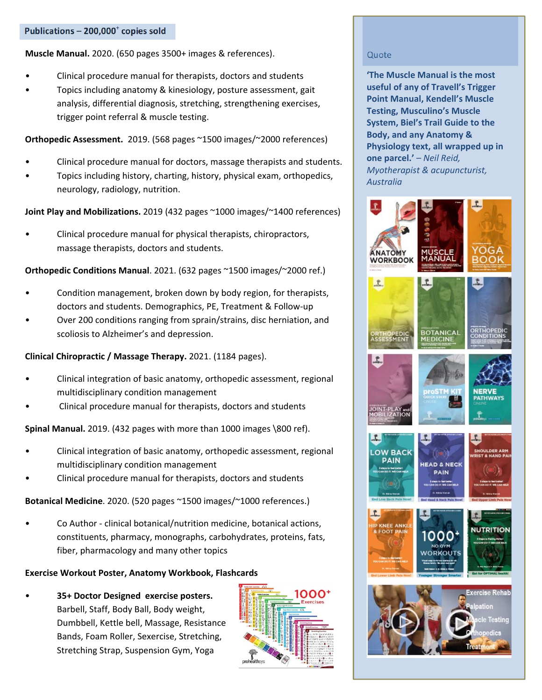**Muscle Manual.** 2020. (650 pages 3500+ images & references).

- Clinical procedure manual for therapists, doctors and students
- Topics including anatomy & kinesiology, posture assessment, gait analysis, differential diagnosis, stretching, strengthening exercises, trigger point referral & muscle testing.

**Orthopedic Assessment.** 2019. (568 pages ~1500 images/~2000 references)

- Clinical procedure manual for doctors, massage therapists and students.
- Topics including history, charting, history, physical exam, orthopedics, neurology, radiology, nutrition.

**Joint Play and Mobilizations.** 2019 (432 pages ~1000 images/~1400 references)

• Clinical procedure manual for physical therapists, chiropractors, massage therapists, doctors and students.

**Orthopedic Conditions Manual**. 2021. (632 pages ~1500 images/~2000 ref.)

- Condition management, broken down by body region, for therapists, doctors and students. Demographics, PE, Treatment & Follow‐up
- Over 200 conditions ranging from sprain/strains, disc herniation, and scoliosis to Alzheimer's and depression.

**Clinical Chiropractic / Massage Therapy.** 2021. (1184 pages).

- Clinical integration of basic anatomy, orthopedic assessment, regional multidisciplinary condition management
- Clinical procedure manual for therapists, doctors and students

**Spinal Manual.** 2019. (432 pages with more than 1000 images \800 ref).

- Clinical integration of basic anatomy, orthopedic assessment, regional multidisciplinary condition management
- Clinical procedure manual for therapists, doctors and students

**Botanical Medicine**. 2020. (520 pages ~1500 images/~1000 references.)

• Co Author ‐ clinical botanical/nutrition medicine, botanical actions, constituents, pharmacy, monographs, carbohydrates, proteins, fats, fiber, pharmacology and many other topics

### **Exercise Workout Poster, Anatomy Workbook, Flashcards**

• **35+ Doctor Designed exercise posters.** Barbell, Staff, Body Ball, Body weight, Dumbbell, Kettle bell, Massage, Resistance Bands, Foam Roller, Sexercise, Stretching, Stretching Strap, Suspension Gym, Yoga



### Quote

**'The Muscle Manual is the most useful of any of Travell's Trigger Point Manual, Kendell's Muscle Testing, Musculino's Muscle System, Biel's Trail Guide to the Body, and any Anatomy & Physiology text, all wrapped up in one parcel.'** – *Neil Reid, Myotherapist & acupuncturist, Australia* 

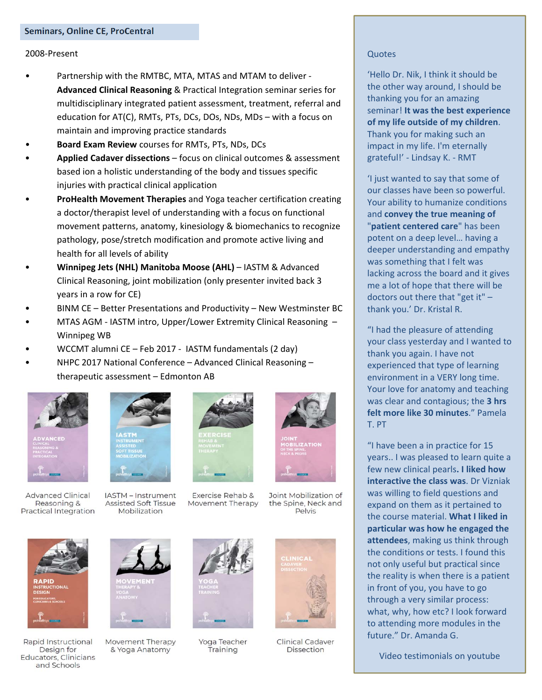#### 2008‐Present

- Partnership with the RMTBC, MTA, MTAS and MTAM to deliver ‐ **Advanced Clinical Reasoning** & Practical Integration seminar series for multidisciplinary integrated patient assessment, treatment, referral and education for AT(C), RMTs, PTs, DCs, DOs, NDs, MDs – with a focus on maintain and improving practice standards
- **Board Exam Review** courses for RMTs, PTs, NDs, DCs
- **Applied Cadaver dissections** focus on clinical outcomes & assessment based ion a holistic understanding of the body and tissues specific injuries with practical clinical application
- **ProHealth Movement Therapies** and Yoga teacher certification creating a doctor/therapist level of understanding with a focus on functional movement patterns, anatomy, kinesiology & biomechanics to recognize pathology, pose/stretch modification and promote active living and health for all levels of ability
- **Winnipeg Jets (NHL) Manitoba Moose (AHL)** IASTM & Advanced Clinical Reasoning, joint mobilization (only presenter invited back 3 years in a row for CE)
- BINM CE Better Presentations and Productivity New Westminster BC
- MTAS AGM ‐ IASTM intro, Upper/Lower Extremity Clinical Reasoning Winnipeg WB
- WCCMT alumni CE Feb 2017 ‐ IASTM fundamentals (2 day)
- NHPC 2017 National Conference Advanced Clinical Reasoning therapeutic assessment – Edmonton AB



**Advanced Clinical** Reasoning & **Practical Integration** 



IASTM - Instrument Assisted Soft Tissue Mobilization



Exercise Rehab & Movement Therapy



Joint Mobilization of the Spine, Neck and Pelvis



Rapid Instructional Design for Educators, Clinicians and Schools



Movement Therapy & Yoga Anatomy



Yoga Teacher Training



**Clinical Cadaver** Dissection

### **Quotes**

'Hello Dr. Nik, I think it should be the other way around, I should be thanking you for an amazing seminar! **It was the best experience of my life outside of my children**. Thank you for making such an impact in my life. I'm eternally grateful!' ‐ Lindsay K. ‐ RMT

'I just wanted to say that some of our classes have been so powerful. Your ability to humanize conditions and **convey the true meaning of** "**patient centered care**" has been potent on a deep level… having a deeper understanding and empathy was something that I felt was lacking across the board and it gives me a lot of hope that there will be doctors out there that "get it" – thank you.' Dr. Kristal R.

"I had the pleasure of attending your class yesterday and I wanted to thank you again. I have not experienced that type of learning environment in a VERY long time. Your love for anatomy and teaching was clear and contagious; the **3 hrs felt more like 30 minutes**." Pamela T. PT

"I have been a in practice for 15 years.. I was pleased to learn quite a few new clinical pearls**. I liked how interactive the class was**. Dr Vizniak was willing to field questions and expand on them as it pertained to the course material. **What I liked in particular was how he engaged the attendees**, making us think through the conditions or tests. I found this not only useful but practical since the reality is when there is a patient in front of you, you have to go through a very similar process: what, why, how etc? I look forward to attending more modules in the future." Dr. Amanda G.

Video testimonials on youtube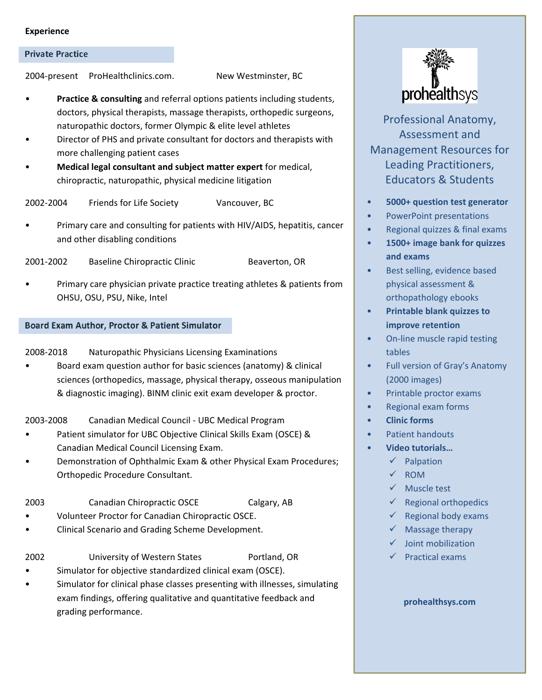#### **Experience**

#### **Private Practice**

2004‐present ProHealthclinics.com. New Westminster, BC

**Practice & consulting** and referral options patients including students, doctors, physical therapists, massage therapists, orthopedic surgeons, naturopathic doctors, former Olympic & elite level athletes

- Director of PHS and private consultant for doctors and therapists with more challenging patient cases
- **Medical legal consultant and subject matter expert** for medical, chiropractic, naturopathic, physical medicine litigation

2002‐2004 Friends for Life Society Vancouver, BC

- Primary care and consulting for patients with HIV/AIDS, hepatitis, cancer and other disabling conditions
- 2001-2002 Baseline Chiropractic Clinic Beaverton, OR
- Primary care physician private practice treating athletes & patients from OHSU, OSU, PSU, Nike, Intel

#### **Board Exam Author, Proctor & Patient Simulator**

2008‐2018 Naturopathic Physicians Licensing Examinations

• Board exam question author for basic sciences (anatomy) & clinical sciences (orthopedics, massage, physical therapy, osseous manipulation & diagnostic imaging). BINM clinic exit exam developer & proctor.

2003‐2008 Canadian Medical Council ‐ UBC Medical Program

- Patient simulator for UBC Objective Clinical Skills Exam (OSCE) & Canadian Medical Council Licensing Exam.
- Demonstration of Ophthalmic Exam & other Physical Exam Procedures; Orthopedic Procedure Consultant.

2003 Canadian Chiropractic OSCE Calgary, AB

- Volunteer Proctor for Canadian Chiropractic OSCE.
- Clinical Scenario and Grading Scheme Development.

2002 University of Western States Portland, OR

- Simulator for objective standardized clinical exam (OSCE).
- Simulator for clinical phase classes presenting with illnesses, simulating exam findings, offering qualitative and quantitative feedback and grading performance.



Professional Anatomy, Assessment and Management Resources for Leading Practitioners, Educators & Students

- **5000+ question test generator**
- PowerPoint presentations
- Regional quizzes & final exams
- **1500+ image bank for quizzes and exams**
- Best selling, evidence based physical assessment & orthopathology ebooks
- **Printable blank quizzes to improve retention**
- On‐line muscle rapid testing tables
- Full version of Gray's Anatomy (2000 images)
- Printable proctor exams
- Regional exam forms
- **Clinic forms**
- Patient handouts
- **Video tutorials…**
	- $\checkmark$  Palpation
	- $\times$  ROM
	- $\checkmark$  Muscle test
	- Regional orthopedics
	- Regional body exams
	- Massage therapy
	- $\checkmark$  Joint mobilization
	- Practical exams

#### **prohealthsys.com**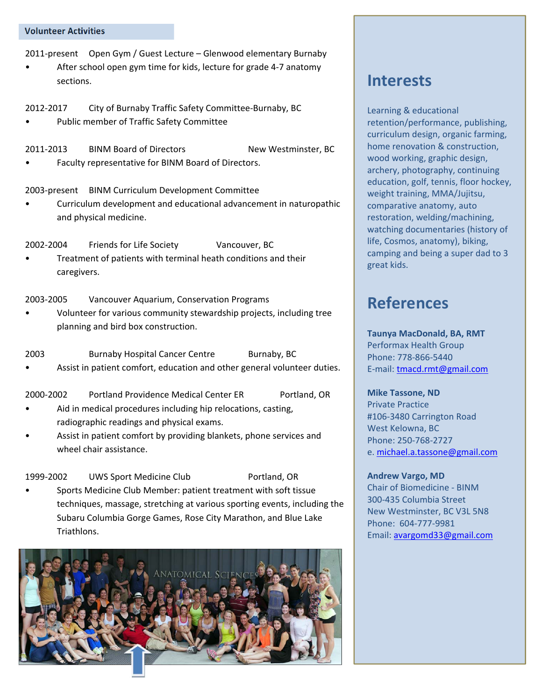#### **Volunteer Activities**

2011‐present Open Gym / Guest Lecture – Glenwood elementary Burnaby

- After school open gym time for kids, lecture for grade 4-7 anatomy sections.
- 2012-2017 City of Burnaby Traffic Safety Committee-Burnaby, BC
- Public member of Traffic Safety Committee

2011‐2013 BINM Board of Directors New Westminster, BC

• Faculty representative for BINM Board of Directors.

2003‐present BINM Curriculum Development Committee

• Curriculum development and educational advancement in naturopathic and physical medicine.

2002‐2004 Friends for Life Society Vancouver, BC

• Treatment of patients with terminal heath conditions and their caregivers.

2003‐2005 Vancouver Aquarium, Conservation Programs

• Volunteer for various community stewardship projects, including tree planning and bird box construction.

2003 Burnaby Hospital Cancer Centre Burnaby, BC Assist in patient comfort, education and other general volunteer duties.

2000‐2002 Portland Providence Medical Center ER Portland, OR

- Aid in medical procedures including hip relocations, casting, radiographic readings and physical exams.
- Assist in patient comfort by providing blankets, phone services and wheel chair assistance.

1999-2002 UWS Sport Medicine Club Portland, OR • Sports Medicine Club Member: patient treatment with soft tissue

techniques, massage, stretching at various sporting events, including the Subaru Columbia Gorge Games, Rose City Marathon, and Blue Lake Triathlons.



# **Interests**

Learning & educational retention/performance, publishing, curriculum design, organic farming, home renovation & construction, wood working, graphic design, archery, photography, continuing education, golf, tennis, floor hockey, weight training, MMA/Jujitsu, comparative anatomy, auto restoration, welding/machining, watching documentaries (history of life, Cosmos, anatomy), biking, camping and being a super dad to 3 great kids.

# **References**

**Taunya MacDonald, BA, RMT**  Performax Health Group Phone: 778‐866‐5440 E‐mail: tmacd.rmt@gmail.com

**Mike Tassone, ND**  Private Practice #106‐3480 Carrington Road West Kelowna, BC Phone: 250‐768‐2727 e. michael.a.tassone@gmail.com

**Andrew Vargo, MD**  Chair of Biomedicine ‐ BINM 300‐435 Columbia Street New Westminster, BC V3L 5N8 Phone: 604‐777‐9981 Email: avargomd33@gmail.com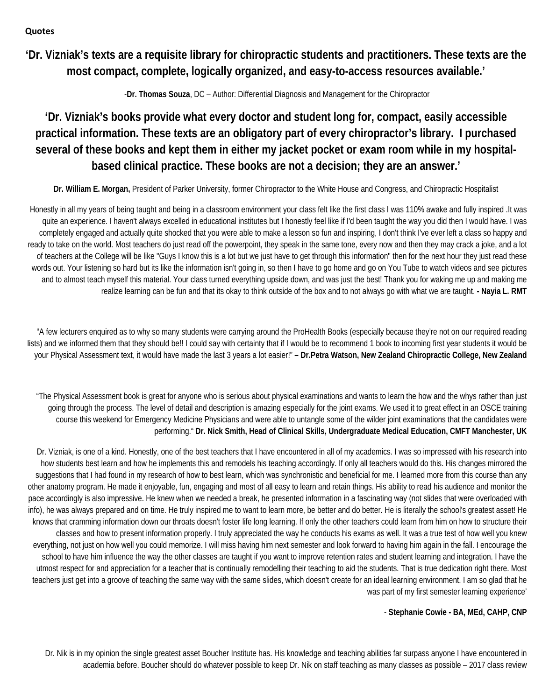### **Quotes**

**'Dr. Vizniak's texts are a requisite library for chiropractic students and practitioners. These texts are the most compact, complete, logically organized, and easy-to-access resources available.'** 

-**Dr. Thomas Souza**, DC – Author: Differential Diagnosis and Management for the Chiropractor

## **'Dr. Vizniak's books provide what every doctor and student long for, compact, easily accessible practical information. These texts are an obligatory part of every chiropractor's library. I purchased several of these books and kept them in either my jacket pocket or exam room while in my hospitalbased clinical practice. These books are not a decision; they are an answer.'**

**Dr. William E. Morgan,** President of Parker University, former Chiropractor to the White House and Congress, and Chiropractic Hospitalist

Honestly in all my years of being taught and being in a classroom environment your class felt like the first class I was 110% awake and fully inspired .It was quite an experience. I haven't always excelled in educational institutes but I honestly feel like if I'd been taught the way you did then I would have. I was completely engaged and actually quite shocked that you were able to make a lesson so fun and inspiring, I don't think I've ever left a class so happy and ready to take on the world. Most teachers do just read off the powerpoint, they speak in the same tone, every now and then they may crack a joke, and a lot of teachers at the College will be like "Guys I know this is a lot but we just have to get through this information" then for the next hour they just read these words out. Your listening so hard but its like the information isn't going in, so then I have to go home and go on You Tube to watch videos and see pictures and to almost teach myself this material. Your class turned everything upside down, and was just the best! Thank you for waking me up and making me realize learning can be fun and that its okay to think outside of the box and to not always go with what we are taught. **- Nayia L. RMT**

"A few lecturers enquired as to why so many students were carrying around the ProHealth Books (especially because they're not on our required reading lists) and we informed them that they should be!! I could say with certainty that if I would be to recommend 1 book to incoming first year students it would be your Physical Assessment text, it would have made the last 3 years a lot easier!" **– Dr.Petra Watson, New Zealand Chiropractic College, New Zealand** 

"The Physical Assessment book is great for anyone who is serious about physical examinations and wants to learn the how and the whys rather than just going through the process. The level of detail and description is amazing especially for the joint exams. We used it to great effect in an OSCE training course this weekend for Emergency Medicine Physicians and were able to untangle some of the wilder joint examinations that the candidates were performing." **Dr. Nick Smith, Head of Clinical Skills, Undergraduate Medical Education, CMFT Manchester, UK**

Dr. Vizniak, is one of a kind. Honestly, one of the best teachers that I have encountered in all of my academics. I was so impressed with his research into how students best learn and how he implements this and remodels his teaching accordingly. If only all teachers would do this. His changes mirrored the suggestions that I had found in my research of how to best learn, which was synchronistic and beneficial for me. I learned more from this course than any other anatomy program. He made it enjoyable, fun, engaging and most of all easy to learn and retain things. His ability to read his audience and monitor the pace accordingly is also impressive. He knew when we needed a break, he presented information in a fascinating way (not slides that were overloaded with info), he was always prepared and on time. He truly inspired me to want to learn more, be better and do better. He is literally the school's greatest asset! He knows that cramming information down our throats doesn't foster life long learning. If only the other teachers could learn from him on how to structure their classes and how to present information properly. I truly appreciated the way he conducts his exams as well. It was a true test of how well you knew everything, not just on how well you could memorize. I will miss having him next semester and look forward to having him again in the fall. I encourage the school to have him influence the way the other classes are taught if you want to improve retention rates and student learning and integration. I have the utmost respect for and appreciation for a teacher that is continually remodelling their teaching to aid the students. That is true dedication right there. Most teachers just get into a groove of teaching the same way with the same slides, which doesn't create for an ideal learning environment. I am so glad that he was part of my first semester learning experience'

### - **Stephanie Cowie - BA, MEd, CAHP, CNP**

Dr. Nik is in my opinion the single greatest asset Boucher Institute has. His knowledge and teaching abilities far surpass anyone I have encountered in academia before. Boucher should do whatever possible to keep Dr. Nik on staff teaching as many classes as possible – 2017 class review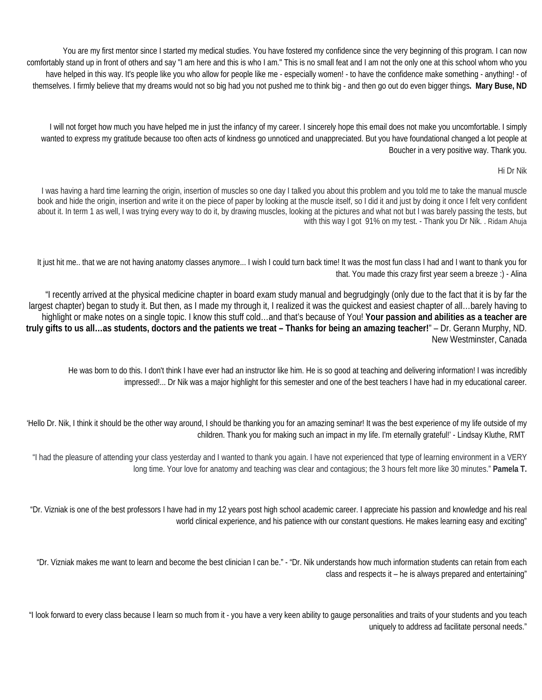You are my first mentor since I started my medical studies. You have fostered my confidence since the very beginning of this program. I can now comfortably stand up in front of others and say "I am here and this is who I am." This is no small feat and I am not the only one at this school whom who you have helped in this way. It's people like you who allow for people like me - especially women! - to have the confidence make something - anything! - of themselves. I firmly believe that my dreams would not so big had you not pushed me to think big - and then go out do even bigger things**. Mary Buse, ND** 

I will not forget how much you have helped me in just the infancy of my career. I sincerely hope this email does not make you uncomfortable. I simply wanted to express my gratitude because too often acts of kindness go unnoticed and unappreciated. But you have foundational changed a lot people at Boucher in a very positive way. Thank you.

#### Hi Dr Nik

I was having a hard time learning the origin, insertion of muscles so one day I talked you about this problem and you told me to take the manual muscle book and hide the origin, insertion and write it on the piece of paper by looking at the muscle itself, so I did it and just by doing it once I felt very confident about it. In term 1 as well, I was trying every way to do it, by drawing muscles, looking at the pictures and what not but I was barely passing the tests, but with this way I got 91% on my test. - Thank you Dr Nik. . Ridam Ahuja

It just hit me.. that we are not having anatomy classes anymore... I wish I could turn back time! It was the most fun class I had and I want to thank you for that. You made this crazy first year seem a breeze :) - Alina

"I recently arrived at the physical medicine chapter in board exam study manual and begrudgingly (only due to the fact that it is by far the largest chapter) began to study it. But then, as I made my through it, I realized it was the quickest and easiest chapter of all…barely having to highlight or make notes on a single topic. I know this stuff cold…and that's because of You! **Your passion and abilities as a teacher are truly gifts to us all…as students, doctors and the patients we treat – Thanks for being an amazing teacher!**" – Dr. Gerann Murphy, ND. New Westminster, Canada

He was born to do this. I don't think I have ever had an instructor like him. He is so good at teaching and delivering information! I was incredibly impressed!... Dr Nik was a major highlight for this semester and one of the best teachers I have had in my educational career.

'Hello Dr. Nik, I think it should be the other way around, I should be thanking you for an amazing seminar! It was the best experience of my life outside of my children. Thank you for making such an impact in my life. I'm eternally grateful!' - Lindsay Kluthe, RMT

"I had the pleasure of attending your class yesterday and I wanted to thank you again. I have not experienced that type of learning environment in a VERY long time. Your love for anatomy and teaching was clear and contagious; the 3 hours felt more like 30 minutes." **Pamela T.** 

"Dr. Vizniak is one of the best professors I have had in my 12 years post high school academic career. I appreciate his passion and knowledge and his real world clinical experience, and his patience with our constant questions. He makes learning easy and exciting"

"Dr. Vizniak makes me want to learn and become the best clinician I can be." - "Dr. Nik understands how much information students can retain from each class and respects it – he is always prepared and entertaining"

"I look forward to every class because I learn so much from it - you have a very keen ability to gauge personalities and traits of your students and you teach uniquely to address ad facilitate personal needs."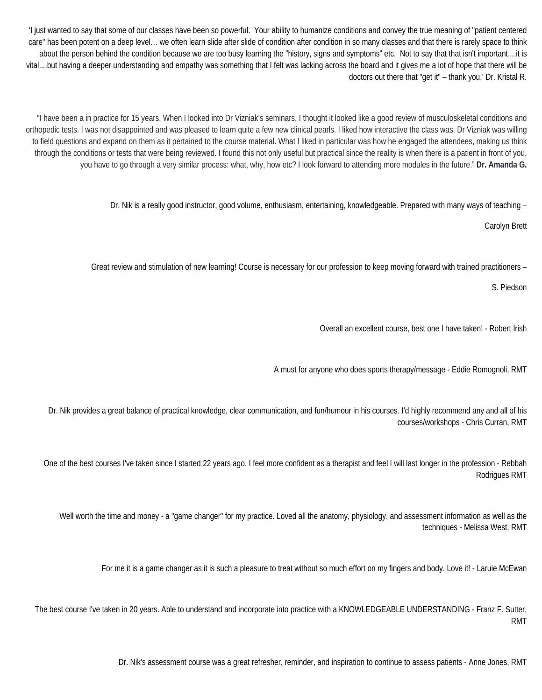'I just wanted to say that some of our classes have been so powerful. Your ability to humanize conditions and convey the true meaning of "patient centered care" has been potent on a deep level… we often learn slide after slide of condition after condition in so many classes and that there is rarely space to think about the person behind the condition because we are too busy learning the "history, signs and symptoms" etc. Not to say that that isn't important....it is vital....but having a deeper understanding and empathy was something that I felt was lacking across the board and it gives me a lot of hope that there will be doctors out there that "get it" – thank you.' Dr. Kristal R.

"I have been a in practice for 15 years. When I looked into Dr Vizniak's seminars, I thought it looked like a good review of musculoskeletal conditions and orthopedic tests. I was not disappointed and was pleased to learn quite a few new clinical pearls. I liked how interactive the class was. Dr Vizniak was willing to field questions and expand on them as it pertained to the course material. What I liked in particular was how he engaged the attendees, making us think through the conditions or tests that were being reviewed. I found this not only useful but practical since the reality is when there is a patient in front of you, you have to go through a very similar process: what, why, how etc? I look forward to attending more modules in the future." **Dr. Amanda G.** 

Dr. Nik is a really good instructor, good volume, enthusiasm, entertaining, knowledgeable. Prepared with many ways of teaching –

Carolyn Brett

Great review and stimulation of new learning! Course is necessary for our profession to keep moving forward with trained practitioners –

S. Piedson

Overall an excellent course, best one I have taken! - Robert Irish

A must for anyone who does sports therapy/message - Eddie Romognoli, RMT

Dr. Nik provides a great balance of practical knowledge, clear communication, and fun/humour in his courses. I'd highly recommend any and all of his courses/workshops - Chris Curran, RMT

One of the best courses I've taken since I started 22 years ago. I feel more confident as a therapist and feel I will last longer in the profession - Rebbah Rodrigues RMT

Well worth the time and money - a "game changer" for my practice. Loved all the anatomy, physiology, and assessment information as well as the techniques - Melissa West, RMT

For me it is a game changer as it is such a pleasure to treat without so much effort on my fingers and body. Love it! - Laruie McEwan

The best course I've taken in 20 years. Able to understand and incorporate into practice with a KNOWLEDGEABLE UNDERSTANDING - Franz F. Sutter, RMT

Dr. Nik's assessment course was a great refresher, reminder, and inspiration to continue to assess patients - Anne Jones, RMT